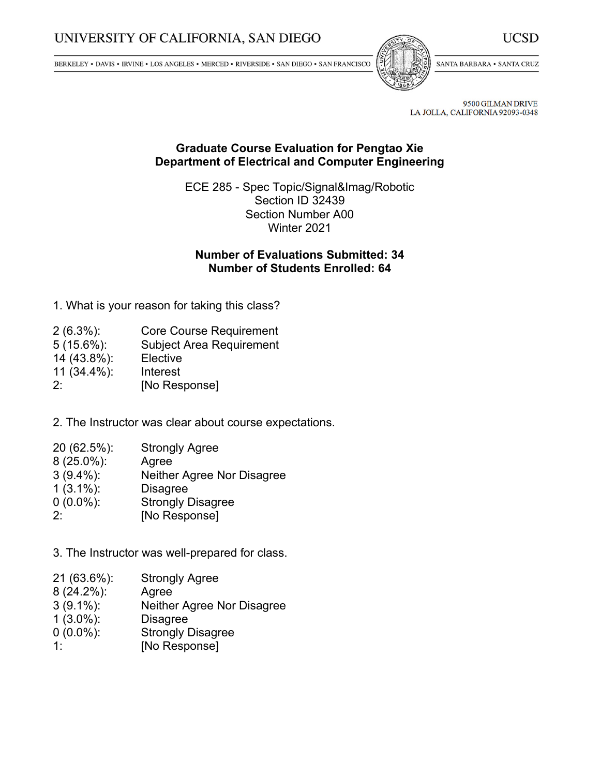BERKELEY • DAVIS • IRVINE • LOS ANGELES • MERCED • RIVERSIDE • SAN DIEGO • SAN FRANCISCO



SANTA BARBARA . SANTA CRUZ

9500 GILMAN DRIVE LA JOLLA, CALIFORNIA 92093-0348

## **Graduate Course Evaluation for Pengtao Xie Department of Electrical and Computer Engineering**

ECE 285 - Spec Topic/Signal&Imag/Robotic Section ID 32439 Section Number A00 Winter 2021

## **Number of Evaluations Submitted: 34 Number of Students Enrolled: 64**

1. What is your reason for taking this class?

| $2(6.3\%)$ :   | <b>Core Course Requirement</b>  |
|----------------|---------------------------------|
| $5(15.6\%)$ :  | <b>Subject Area Requirement</b> |
| 14 (43.8%):    | Elective                        |
| $11(34.4\%)$ : | Interest                        |
| $2^{\cdot}$    | [No Response]                   |

2. The Instructor was clear about course expectations.

- 20 (62.5%): Strongly Agree
- 8 (25.0%): Agree
- 3 (9.4%): Neither Agree Nor Disagree
- $1 (3.1\%)$ :
- 0 (0.0%): Strongly Disagree
- 2: [No Response]

3. The Instructor was well-prepared for class.

- 21 (63.6%): Strongly Agree
- 8 (24.2%): Agree
- 3 (9.1%): Neither Agree Nor Disagree
- 1 (3.0%): Disagree
- 0 (0.0%): Strongly Disagree
- 1: [No Response]

UCSD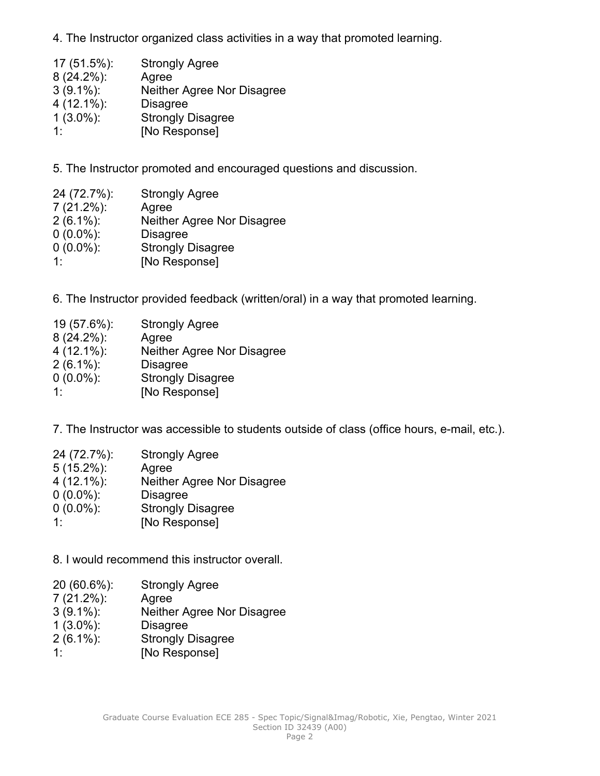4. The Instructor organized class activities in <sup>a</sup> way that promoted learning.

| $17(51.5\%)$ : | <b>Strongly Agree</b>      |
|----------------|----------------------------|
| $8(24.2\%)$ :  | Agree                      |
| $3(9.1\%)$ :   | Neither Agree Nor Disagree |
| $4(12.1\%)$ :  | <b>Disagree</b>            |
| $1(3.0\%)$ :   | <b>Strongly Disagree</b>   |
| 1.             | [No Response]              |

5. The Instructor promoted and encouraged questions and discussion.

| 24 (72.7%):   | <b>Strongly Agree</b>      |
|---------------|----------------------------|
| $7(21.2\%)$ : | Agree                      |
| $2(6.1\%)$ :  | Neither Agree Nor Disagree |
| $0(0.0\%)$ :  | <b>Disagree</b>            |
| $0(0.0\%)$ :  | <b>Strongly Disagree</b>   |
| $1 \cdot$     | [No Response]              |

6. The Instructor provided feedback (written/oral) in <sup>a</sup> way that promoted learning.

| 19 (57.6%):   | <b>Strongly Agree</b>      |
|---------------|----------------------------|
| $8(24.2\%)$ : | Agree                      |
| $4(12.1\%)$ : | Neither Agree Nor Disagree |
| $2(6.1\%)$ :  | <b>Disagree</b>            |
| $0(0.0\%)$ :  | <b>Strongly Disagree</b>   |
| 1.            | [No Response]              |

7. The Instructor was accessible to students outside of class (office hours, e-mail, etc.).

| 24 (72.7%):   | <b>Strongly Agree</b>      |
|---------------|----------------------------|
| $5(15.2\%)$ : | Agree                      |
| $4(12.1\%)$ : | Neither Agree Nor Disagree |
| $0(0.0\%)$ :  | <b>Disagree</b>            |
| $0(0.0\%)$ :  | <b>Strongly Disagree</b>   |
| 1.            | [No Response]              |

8. I would recommend this instructor overall.

- 20 (60.6%): Strongly Agree
- 7 (21.2%): Agree
- 3 (9.1%): Neither Agree Nor Disagree
- 1 (3.0%): Disagree
- 2 (6.1%): Strongly Disagree
- 1: [No Response]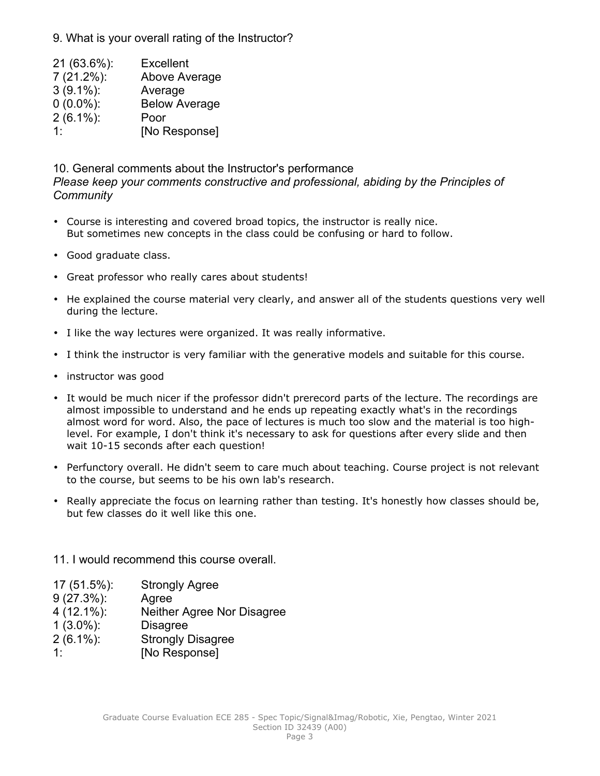9. What is your overall rating of the Instructor?

 (63.6%): Excellent (21.2%): Above Average (9.1%): Average (0.0%): Below Average (6.1%): Poor 1: [No Response]

10. General comments about the Instructor's performance *Please keep your comments constructive and professional, abiding by the Principles of Community*

- Course is interesting and covered broad topics, the instructor is really nice. But sometimes new concepts in the class could be confusing or hard to follow.
- Good graduate class.
- Great professor who really cares about students!
- He explained the course material very clearly, and answer all of the students questions very well during the lecture.
- I like the way lectures were organized. It was really informative.
- •I think the instructor is very familiar with the generative models and suitable for this course.
- instructor was good
- It would be much nicer if the professor didn't prerecord parts of the lecture. The recordings are almost impossible to understand and he ends up repeating exactly what's in the recordings almost word for word. Also, the pace of lectures is much too slow and the material is too highlevel. For example, I don't think it's necessary to ask for questions after every slide and then wait 10-15 seconds after each question!
- Perfunctory overall. He didn't seem to care much about teaching. Course project is not relevant to the course, but seems to be his own lab's research.
- Really appreciate the focus on learning rather than testing. It's honestly how classes should be, but few classes do it well like this one.

11. I would recommend this course overall.

- 17 (51.5%): Strongly Agree
- 9 (27.3%): Agree
- 4 (12.1%): Neither Agree Nor Disagree
- 1 (3.0%): Disagree
- 2 (6.1%): Strongly Disagree
- 1: [No Response]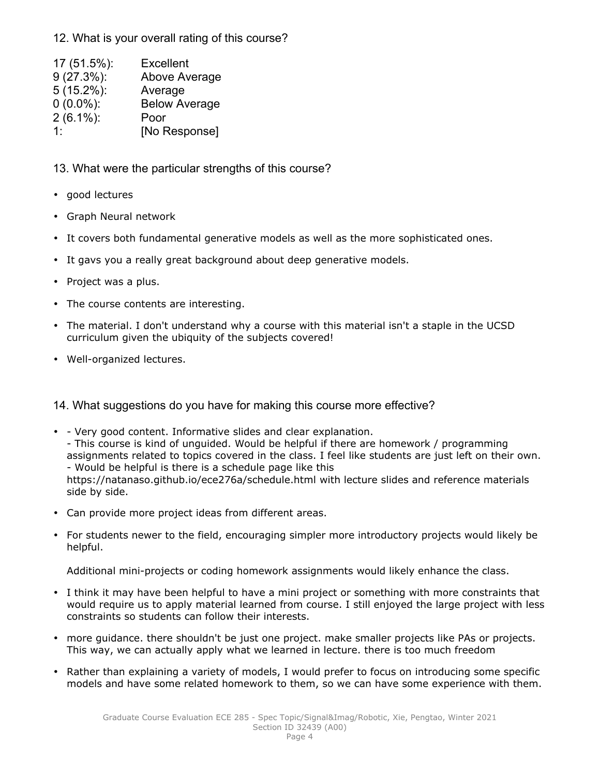12. What is your overall rating of this course?

| 17 (51.5%):   | <b>Excellent</b>     |
|---------------|----------------------|
| $9(27.3\%)$ : | Above Average        |
| $5(15.2\%)$ : | Average              |
| $0(0.0\%)$ :  | <b>Below Average</b> |
| $2(6.1\%)$ :  | Poor                 |
| 1.            | [No Response]        |

13. What were the particular strengths of this course?

- good lectures
- Graph Neural network
- It covers both fundamental generative models as well as the more sophisticated ones.
- •It gavs you <sup>a</sup> really great background about deep generative models.
- •Project was <sup>a</sup> plus.
- •The course contents are interesting.
- The material. I don't understand why <sup>a</sup> course with this material isn't <sup>a</sup> staple in the UCSD curriculum given the ubiquity of the subjects covered!
- Well-organized lectures.

14. What suggestions do you have for making this course more effective?

- - Very good content. Informative slides and clear explanation. - This course is kind of unguided. Would be helpful if there are homework / programming assignments related to topics covered in the class. I feel like students are just left on their own. - Would be helpful is there is <sup>a</sup> schedule page like this https://natanaso.github.io/ece276a/schedule.html with lecture slides and reference materials side by side.
- Can provide more project ideas from different areas.
- For students newer to the field, encouraging simpler more introductory projects would likely be helpful.

Additional mini-projects or coding homework assignments would likely enhance the class.

- I think it may have been helpful to have <sup>a</sup> mini project or something with more constraints that would require us to apply material learned from course. I still enjoyed the large project with less constraints so students can follow their interests.
- more guidance. there shouldn't be just one project. make smaller projects like PAs or projects. This way, we can actually apply what we learned in lecture. there is too much freedom
- Rather than explaining <sup>a</sup> variety of models, I would prefer to focus on introducing some specific models and have some related homework to them, so we can have some experience with them.